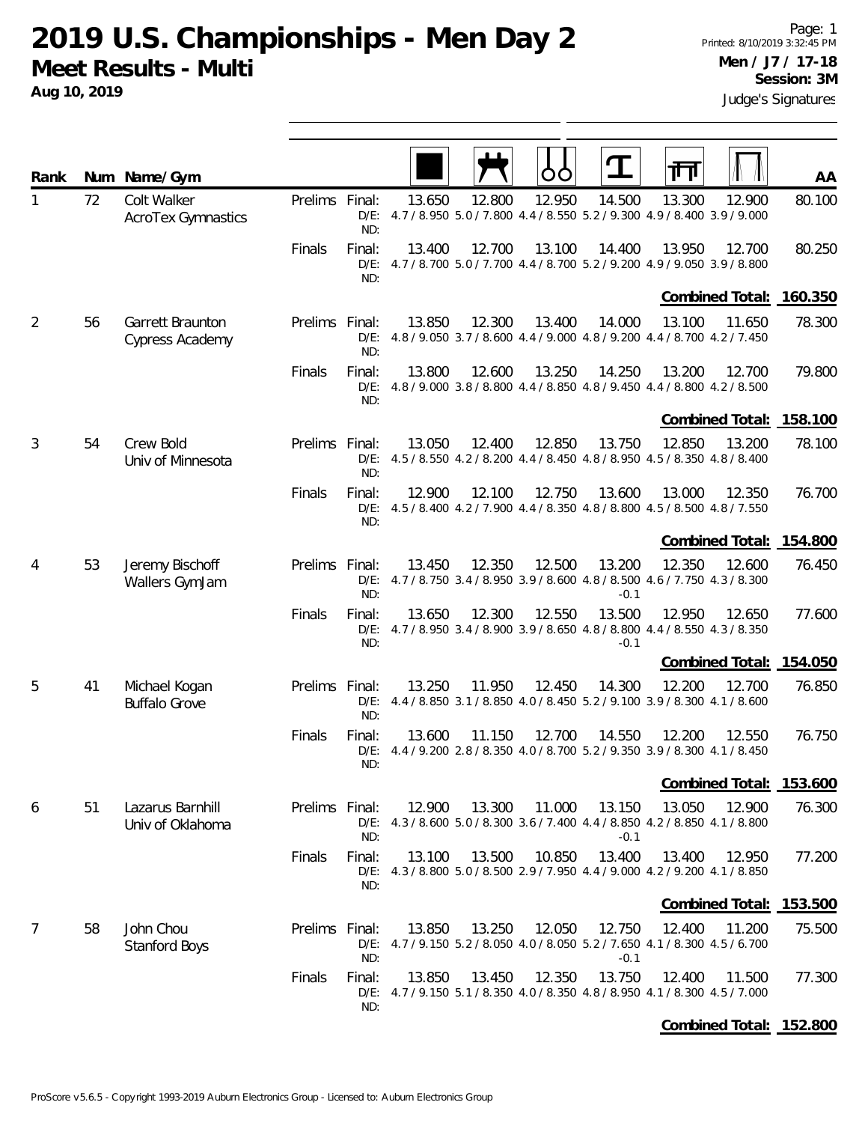**2019 U.S. Championships - Men Day 2 Meet Results - Multi**

**Aug 10, 2019**

| Rank           |    | Num Name/Gym                          |                |                          |        |        |        | $\mathbf T$      | ╥╖                                                                                               | AA     |
|----------------|----|---------------------------------------|----------------|--------------------------|--------|--------|--------|------------------|--------------------------------------------------------------------------------------------------|--------|
| 1              | 72 | Colt Walker<br>AcroTex Gymnastics     | Prelims Final: | ND:                      | 13.650 | 12.800 | 12.950 | 14.500           | 13.300<br>12.900<br>D/E: 4.7 / 8.950 5.0 / 7.800 4.4 / 8.550 5.2 / 9.300 4.9 / 8.400 3.9 / 9.000 | 80.100 |
|                |    |                                       | Finals         | Final:<br>ND:            | 13.400 | 12.700 | 13.100 | 14.400           | 13.950<br>12.700<br>D/E: 4.7 / 8.700 5.0 / 7.700 4.4 / 8.700 5.2 / 9.200 4.9 / 9.050 3.9 / 8.800 | 80.250 |
|                |    |                                       |                |                          |        |        |        |                  | Combined Total: 160.350                                                                          |        |
| $\overline{2}$ | 56 | Garrett Braunton<br>Cypress Academy   | Prelims Final: | ND:                      | 13.850 | 12.300 | 13.400 | 14.000           | 13.100<br>11.650<br>D/E: 4.8 / 9.050 3.7 / 8.600 4.4 / 9.000 4.8 / 9.200 4.4 / 8.700 4.2 / 7.450 | 78.300 |
|                |    |                                       | Finals         | Final:<br>$D/E$ :<br>ND: | 13.800 | 12.600 | 13.250 | 14.250           | 13.200<br>12.700<br>4.8 / 9.000 3.8 / 8.800 4.4 / 8.850 4.8 / 9.450 4.4 / 8.800 4.2 / 8.500      | 79.800 |
|                |    |                                       |                |                          |        |        |        |                  | Combined Total: 158.100                                                                          |        |
| 3              | 54 | Crew Bold<br>Univ of Minnesota        | Prelims Final: | ND:                      | 13.050 | 12.400 | 12.850 | 13.750           | 12.850<br>13.200<br>D/E: 4.5 / 8.550 4.2 / 8.200 4.4 / 8.450 4.8 / 8.950 4.5 / 8.350 4.8 / 8.400 | 78.100 |
|                |    |                                       | Finals         | Final:<br>ND:            | 12.900 | 12.100 | 12.750 | 13.600           | 13.000<br>12.350<br>D/E: 4.5 / 8.400 4.2 / 7.900 4.4 / 8.350 4.8 / 8.800 4.5 / 8.500 4.8 / 7.550 | 76.700 |
|                |    |                                       |                |                          |        |        |        |                  | Combined Total: 154.800                                                                          |        |
| 4              | 53 | Jeremy Bischoff<br>Wallers GymJam     | Prelims Final: | ND:                      | 13.450 | 12.350 | 12.500 | 13.200<br>$-0.1$ | 12.350<br>12.600<br>D/E: 4.7 / 8.750 3.4 / 8.950 3.9 / 8.600 4.8 / 8.500 4.6 / 7.750 4.3 / 8.300 | 76.450 |
|                |    |                                       | Finals         | Final:<br>ND:            | 13.650 | 12.300 | 12.550 | 13.500<br>$-0.1$ | 12.950<br>12.650<br>D/E: 4.7 / 8.950 3.4 / 8.900 3.9 / 8.650 4.8 / 8.800 4.4 / 8.550 4.3 / 8.350 | 77.600 |
|                |    |                                       |                |                          |        |        |        |                  | Combined Total: 154.050                                                                          |        |
| 5              | 41 | Michael Kogan<br><b>Buffalo Grove</b> | Prelims        | Final:<br>$D/E$ :<br>ND: | 13.250 | 11.950 | 12.450 | 14.300           | 12.200<br>12.700<br>4.4 / 8.850 3.1 / 8.850 4.0 / 8.450 5.2 / 9.100 3.9 / 8.300 4.1 / 8.600      | 76.850 |
|                |    |                                       | Finals         | Final:<br>$D/E$ :<br>ND: | 13.600 | 11.150 | 12.700 | 14.550           | 12.200<br>12.550<br>4.4 / 9.200 2.8 / 8.350 4.0 / 8.700 5.2 / 9.350 3.9 / 8.300 4.1 / 8.450      | 76.750 |
|                |    |                                       |                |                          |        |        |        |                  | Combined Total: 153.600                                                                          |        |
| 6              | 51 | Lazarus Barnhill<br>Univ of Oklahoma  | Prelims Final: | ND:                      | 12.900 | 13.300 | 11.000 | 13.150<br>$-0.1$ | 12.900<br>13.050<br>D/E: 4.3 / 8.600 5.0 / 8.300 3.6 / 7.400 4.4 / 8.850 4.2 / 8.850 4.1 / 8.800 | 76.300 |
|                |    |                                       | Finals         | Final:<br>ND:            | 13.100 | 13.500 | 10.850 | 13.400           | 13.400<br>12.950<br>D/E: 4.3 / 8.800 5.0 / 8.500 2.9 / 7.950 4.4 / 9.000 4.2 / 9.200 4.1 / 8.850 | 77.200 |
|                |    |                                       |                |                          |        |        |        |                  | Combined Total: 153.500                                                                          |        |
| $\overline{7}$ | 58 | John Chou<br><b>Stanford Boys</b>     | Prelims Final: | ND:                      | 13.850 | 13.250 | 12.050 | 12.750<br>$-0.1$ | 12.400<br>11.200<br>D/E: 4.7 / 9.150 5.2 / 8.050 4.0 / 8.050 5.2 / 7.650 4.1 / 8.300 4.5 / 6.700 | 75.500 |
|                |    |                                       | Finals         | Final:<br>ND:            | 13.850 | 13.450 | 12.350 | 13.750           | 12.400<br>11.500<br>D/E: 4.7 / 9.150 5.1 / 8.350 4.0 / 8.350 4.8 / 8.950 4.1 / 8.300 4.5 / 7.000 | 77.300 |
|                |    |                                       |                |                          |        |        |        |                  | Combined Total: 152.800                                                                          |        |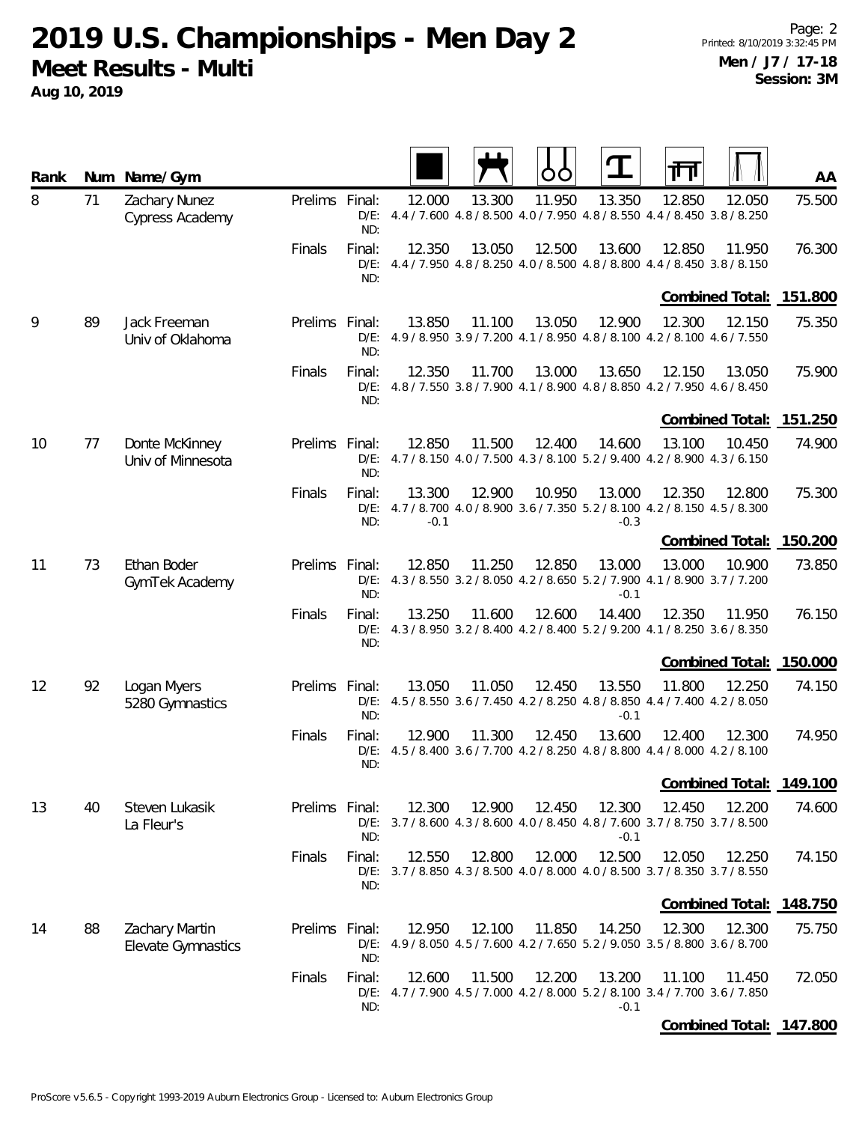**2019 U.S. Championships - Men Day 2 Meet Results - Multi**

| Rank |    | Num Name/Gym                                |                |                          |                  |        | OC     |                  | 帀                                                                                                | AA      |
|------|----|---------------------------------------------|----------------|--------------------------|------------------|--------|--------|------------------|--------------------------------------------------------------------------------------------------|---------|
| 8    | 71 | Zachary Nunez<br>Cypress Academy            | Prelims Final: | ND:                      | 12.000           | 13.300 | 11.950 | 13.350           | 12.850<br>12.050<br>D/E: 4.4 / 7.600 4.8 / 8.500 4.0 / 7.950 4.8 / 8.550 4.4 / 8.450 3.8 / 8.250 | 75.500  |
|      |    |                                             | Finals         | Final:<br>ND:            | 12.350           | 13.050 | 12.500 | 13.600           | 12.850<br>11.950<br>D/E: 4.4 / 7.950 4.8 / 8.250 4.0 / 8.500 4.8 / 8.800 4.4 / 8.450 3.8 / 8.150 | 76.300  |
|      |    |                                             |                |                          |                  |        |        |                  | Combined Total: 151.800                                                                          |         |
| 9    | 89 | Jack Freeman<br>Univ of Oklahoma            | Prelims        | Final:<br>$D/E$ :<br>ND: | 13.850           | 11.100 | 13.050 | 12.900           | 12.300<br>12.150<br>4.9 / 8.950 3.9 / 7.200 4.1 / 8.950 4.8 / 8.100 4.2 / 8.100 4.6 / 7.550      | 75.350  |
|      |    |                                             | Finals         | Final:<br>ND:            | 12.350           | 11.700 | 13.000 | 13.650           | 12.150<br>13.050<br>D/E: 4.8 / 7.550 3.8 / 7.900 4.1 / 8.900 4.8 / 8.850 4.2 / 7.950 4.6 / 8.450 | 75.900  |
|      |    |                                             |                |                          |                  |        |        |                  | <b>Combined Total:</b>                                                                           | 151.250 |
| 10   | 77 | Donte McKinney<br>Univ of Minnesota         | Prelims Final: | ND:                      | 12.850           | 11.500 | 12.400 | 14.600           | 13.100<br>10.450<br>D/E: $4.7/8.150$ $4.0/7.500$ $4.3/8.100$ $5.2/9.400$ $4.2/8.900$ $4.3/6.150$ | 74.900  |
|      |    |                                             | Finals         | Final:<br>ND:            | 13.300<br>$-0.1$ | 12.900 | 10.950 | 13.000<br>$-0.3$ | 12.350<br>12.800<br>D/E: 4.7 / 8.700 4.0 / 8.900 3.6 / 7.350 5.2 / 8.100 4.2 / 8.150 4.5 / 8.300 | 75.300  |
|      |    |                                             |                |                          |                  |        |        |                  | Combined Total:                                                                                  | 150.200 |
| 11   | 73 | Ethan Boder<br>GymTek Academy               | Prelims Final: | ND:                      | 12.850           | 11.250 | 12.850 | 13.000<br>$-0.1$ | 13.000<br>10.900<br>D/E: 4.3 / 8.550 3.2 / 8.050 4.2 / 8.650 5.2 / 7.900 4.1 / 8.900 3.7 / 7.200 | 73.850  |
|      |    |                                             | Finals         | Final:<br>ND:            | 13.250           | 11.600 | 12.600 | 14.400           | 12.350<br>11.950<br>D/E: 4.3 / 8.950 3.2 / 8.400 4.2 / 8.400 5.2 / 9.200 4.1 / 8.250 3.6 / 8.350 | 76.150  |
|      |    |                                             |                |                          |                  |        |        |                  | Combined Total: 150.000                                                                          |         |
| 12   | 92 | Logan Myers<br>5280 Gymnastics              | Prelims Final: | $D/E$ :<br>ND:           | 13.050           | 11.050 | 12.450 | 13.550<br>$-0.1$ | 11.800<br>12.250<br>4.5 / 8.550 3.6 / 7.450 4.2 / 8.250 4.8 / 8.850 4.4 / 7.400 4.2 / 8.050      | 74.150  |
|      |    |                                             | Finals         | Final:<br>$D/E$ :<br>ND: | 12.900           | 11.300 | 12.450 | 13.600           | 12.400<br>12.300<br>4.5 / 8.400 3.6 / 7.700 4.2 / 8.250 4.8 / 8.800 4.4 / 8.000 4.2 / 8.100      | 74.950  |
|      |    |                                             |                |                          |                  |        |        |                  | Combined Total: 149.100                                                                          |         |
| 13   | 40 | Steven Lukasik<br>La Fleur's                | Prelims Final: | $D/E$ :<br>ND:           | 12.300           | 12.900 | 12.450 | 12.300<br>$-0.1$ | 12.450<br>12.200<br>3.7 / 8.600 4.3 / 8.600 4.0 / 8.450 4.8 / 7.600 3.7 / 8.750 3.7 / 8.500      | 74.600  |
|      |    |                                             | Finals         | Final:<br>ND:            | 12.550           | 12.800 | 12.000 | 12.500           | 12.050<br>12.250<br>D/E: 3.7 / 8.850 4.3 / 8.500 4.0 / 8.000 4.0 / 8.500 3.7 / 8.350 3.7 / 8.550 | 74.150  |
|      |    |                                             |                |                          |                  |        |        |                  | <b>Combined Total:</b>                                                                           | 148.750 |
| 14   | 88 | <b>Zachary Martin</b><br>Elevate Gymnastics | Prelims Final: | ND:                      | 12.950           | 12.100 | 11.850 | 14.250           | 12.300<br>12.300<br>D/E: 4.9 / 8.050 4.5 / 7.600 4.2 / 7.650 5.2 / 9.050 3.5 / 8.800 3.6 / 8.700 | 75.750  |
|      |    |                                             | Finals         | Final:<br>$D/E$ :<br>ND: | 12.600           | 11.500 | 12.200 | 13.200<br>$-0.1$ | 11.100<br>11.450<br>4.7/7.900 4.5/7.000 4.2/8.000 5.2/8.100 3.4/7.700 3.6/7.850                  | 72.050  |
|      |    |                                             |                |                          |                  |        |        |                  | Combined Total: 147.800                                                                          |         |